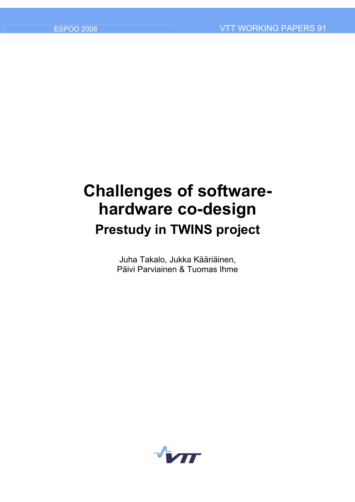# **Challenges of softwarehardware co-design Prestudy in TWINS project**

Juha Takalo, Jukka Kääriäinen, Päivi Parviainen & Tuomas Ihme

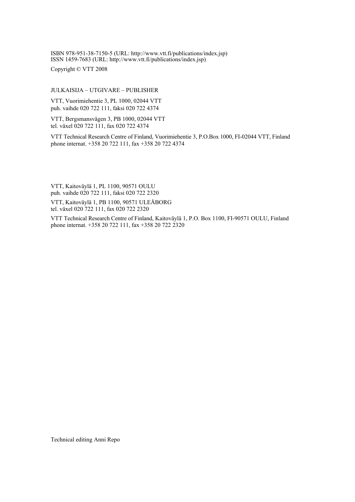ISBN 978-951-38-7150-5 (URL: [http://www.vtt.fi/publications/index.jsp\)](http://www.vtt.fi/publications/index.jsp) ISSN 1459-7683 (URL: [http://www.vtt.fi/publications/index.jsp\)](http://www.vtt.fi/publications/index.jsp)

Copyright © VTT 2008

#### JULKAISIJA – UTGIVARE – PUBLISHER

VTT, Vuorimiehentie 3, PL 1000, 02044 VTT puh. vaihde 020 722 111, faksi 020 722 4374

VTT, Bergsmansvägen 3, PB 1000, 02044 VTT tel. växel 020 722 111, fax 020 722 4374

VTT Technical Research Centre of Finland, Vuorimiehentie 3, P.O.Box 1000, FI-02044 VTT, Finland phone internat. +358 20 722 111, fax +358 20 722 4374

VTT, Kaitoväylä 1, PL 1100, 90571 OULU puh. vaihde 020 722 111, faksi 020 722 2320

VTT, Kaitovävlä 1, PB 1100, 90571 ULEÅBORG tel. växel 020 722 111, fax 020 722 2320

VTT Technical Research Centre of Finland, Kaitoväylä 1, P.O. Box 1100, FI-90571 OULU, Finland phone internat. +358 20 722 111, fax +358 20 722 2320

Technical editing Anni Repo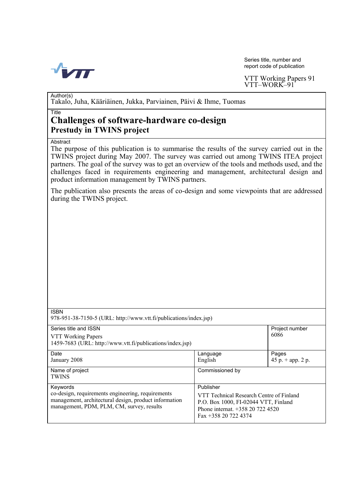

Series title, number and report code of publication

VTT Working Papers 91 VTT-WORK-91

Author(s)

Takalo, Juha, Kääriäinen, Jukka, Parviainen, Päivi & Ihme, Tuomas

#### Title

# **Challenges of software-hardware co-design Prestudy in TWINS project**

**Abstract** 

The purpose of this publication is to summarise the results of the survey carried out in the TWINS project during May 2007. The survey was carried out among TWINS ITEA project partners. The goal of the survey was to get an overview of the tools and methods used, and the challenges faced in requirements engineering and management, architectural design and product information management by TWINS partners.

The publication also presents the areas of co-design and some viewpoints that are addressed during the TWINS project.

| ۰, |  |
|----|--|

978-951-38-7150-5 (URL: [http://www.vtt.fi/publications/index.jsp\)](http://www.vtt.fi/publications/index.jsp) 

| Series title and ISSN<br>VTT Working Papers<br>1459-7683 (URL: http://www.vtt.fi/publications/index.jsp) |                                          | Project number<br>6086 |
|----------------------------------------------------------------------------------------------------------|------------------------------------------|------------------------|
|                                                                                                          |                                          |                        |
| Date                                                                                                     | Language                                 | Pages                  |
| January 2008                                                                                             | English                                  | 45 p. $+$ app. 2 p.    |
| Name of project                                                                                          | Commissioned by                          |                        |
| <b>TWINS</b>                                                                                             |                                          |                        |
| Keywords                                                                                                 | Publisher                                |                        |
| co-design, requirements engineering, requirements                                                        | VTT Technical Research Centre of Finland |                        |
| management, architectural design, product information<br>management, PDM, PLM, CM, survey, results       | P.O. Box 1000, FI-02044 VTT, Finland     |                        |
|                                                                                                          | Phone internat. +358 20 722 4520         |                        |
|                                                                                                          | Fax $+358$ 20 722 4374                   |                        |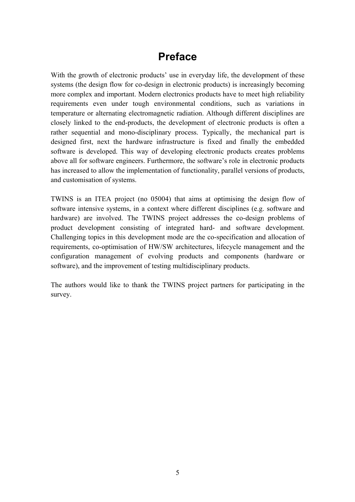# **Preface**

With the growth of electronic products' use in everyday life, the development of these systems (the design flow for co-design in electronic products) is increasingly becoming more complex and important. Modern electronics products have to meet high reliability requirements even under tough environmental conditions, such as variations in temperature or alternating electromagnetic radiation. Although different disciplines are closely linked to the end-products, the development of electronic products is often a rather sequential and mono-disciplinary process. Typically, the mechanical part is designed first, next the hardware infrastructure is fixed and finally the embedded software is developed. This way of developing electronic products creates problems above all for software engineers. Furthermore, the software's role in electronic products has increased to allow the implementation of functionality, parallel versions of products, and customisation of systems.

TWINS is an ITEA project (no 05004) that aims at optimising the design flow of software intensive systems, in a context where different disciplines (e.g. software and hardware) are involved. The TWINS project addresses the co-design problems of product development consisting of integrated hard- and software development. Challenging topics in this development mode are the co-specification and allocation of requirements, co-optimisation of HW/SW architectures, lifecycle management and the configuration management of evolving products and components (hardware or software), and the improvement of testing multidisciplinary products.

The authors would like to thank the TWINS project partners for participating in the survey.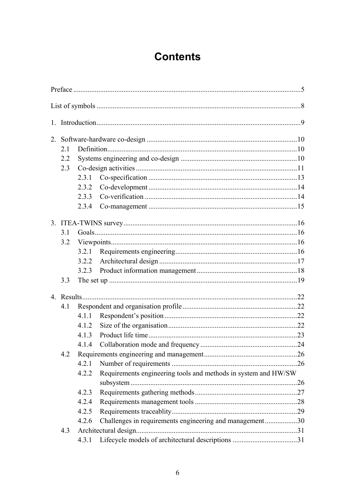# **Contents**

|  | 2.1 |       |                                                                |  |
|--|-----|-------|----------------------------------------------------------------|--|
|  | 2.2 |       |                                                                |  |
|  | 2.3 |       |                                                                |  |
|  |     | 2.3.1 |                                                                |  |
|  |     | 2.3.2 |                                                                |  |
|  |     | 2.3.3 |                                                                |  |
|  |     | 2.3.4 |                                                                |  |
|  |     |       |                                                                |  |
|  | 3.1 |       |                                                                |  |
|  | 3.2 |       |                                                                |  |
|  |     |       |                                                                |  |
|  |     | 3.2.2 |                                                                |  |
|  |     |       |                                                                |  |
|  | 3.3 |       |                                                                |  |
|  |     |       |                                                                |  |
|  | 4.1 |       |                                                                |  |
|  |     | 4.1.1 |                                                                |  |
|  |     | 4.1.2 |                                                                |  |
|  |     | 4.1.3 |                                                                |  |
|  |     | 4.1.4 |                                                                |  |
|  | 4.2 |       |                                                                |  |
|  |     | 4.2.1 |                                                                |  |
|  |     | 4.2.2 | Requirements engineering tools and methods in system and HW/SW |  |
|  |     | 4.2.3 |                                                                |  |
|  |     | 4.2.4 |                                                                |  |
|  |     | 4.2.5 |                                                                |  |
|  |     | 4.2.6 | Challenges in requirements engineering and management30        |  |
|  | 4.3 |       |                                                                |  |
|  |     | 4.3.1 |                                                                |  |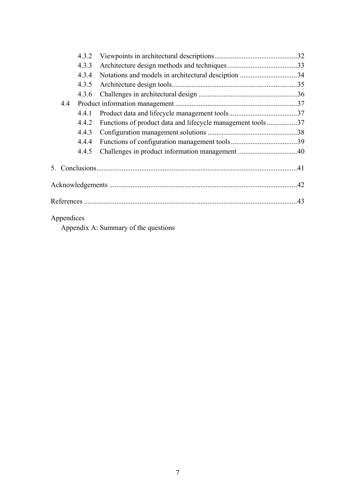|            | 4.3.2 |                                                            |  |
|------------|-------|------------------------------------------------------------|--|
|            | 4.3.3 |                                                            |  |
|            | 4.3.4 | Notations and models in architectural desciption 34        |  |
|            | 4.3.5 |                                                            |  |
|            | 4.3.6 |                                                            |  |
| 4.4        |       |                                                            |  |
|            | 4.4.1 |                                                            |  |
|            | 4.4.2 | Functions of product data and lifecycle management tools37 |  |
|            | 4.4.3 |                                                            |  |
|            | 4.4.4 |                                                            |  |
|            | 4.4.5 |                                                            |  |
|            |       |                                                            |  |
|            |       |                                                            |  |
|            |       |                                                            |  |
| Appendices |       |                                                            |  |

Appendix A: Summary of the questions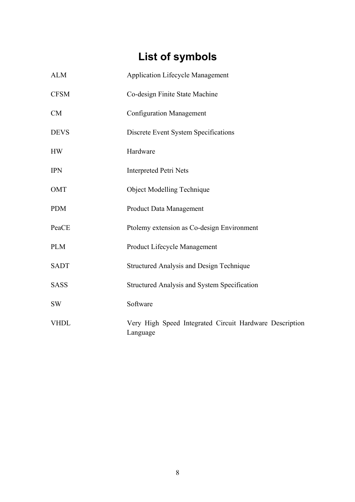# **List of symbols**

| <b>ALM</b>  | <b>Application Lifecycle Management</b>                             |
|-------------|---------------------------------------------------------------------|
| <b>CFSM</b> | Co-design Finite State Machine                                      |
| CM          | <b>Configuration Management</b>                                     |
| <b>DEVS</b> | Discrete Event System Specifications                                |
| <b>HW</b>   | Hardware                                                            |
| <b>IPN</b>  | <b>Interpreted Petri Nets</b>                                       |
| <b>OMT</b>  | <b>Object Modelling Technique</b>                                   |
| <b>PDM</b>  | <b>Product Data Management</b>                                      |
| PeaCE       | Ptolemy extension as Co-design Environment                          |
| <b>PLM</b>  | Product Lifecycle Management                                        |
| <b>SADT</b> | <b>Structured Analysis and Design Technique</b>                     |
| <b>SASS</b> | Structured Analysis and System Specification                        |
| <b>SW</b>   | Software                                                            |
| <b>VHDL</b> | Very High Speed Integrated Circuit Hardware Description<br>Language |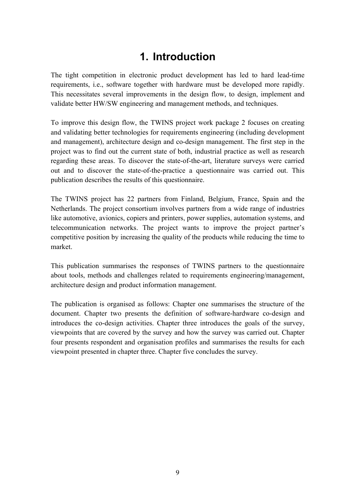# **1. Introduction**

The tight competition in electronic product development has led to hard lead-time requirements, i.e., software together with hardware must be developed more rapidly. This necessitates several improvements in the design flow, to design, implement and validate better HW/SW engineering and management methods, and techniques.

To improve this design flow, the TWINS project work package 2 focuses on creating and validating better technologies for requirements engineering (including development and management), architecture design and co-design management. The first step in the project was to find out the current state of both, industrial practice as well as research regarding these areas. To discover the state-of-the-art, literature surveys were carried out and to discover the state-of-the-practice a questionnaire was carried out. This publication describes the results of this questionnaire.

The TWINS project has 22 partners from Finland, Belgium, France, Spain and the Netherlands. The project consortium involves partners from a wide range of industries like automotive, avionics, copiers and printers, power supplies, automation systems, and telecommunication networks. The project wants to improve the project partner's competitive position by increasing the quality of the products while reducing the time to market.

This publication summarises the responses of TWINS partners to the questionnaire about tools, methods and challenges related to requirements engineering/management, architecture design and product information management.

The publication is organised as follows: Chapter one summarises the structure of the document. Chapter two presents the definition of software-hardware co-design and introduces the co-design activities. Chapter three introduces the goals of the survey, viewpoints that are covered by the survey and how the survey was carried out. Chapter four presents respondent and organisation profiles and summarises the results for each viewpoint presented in chapter three. Chapter five concludes the survey.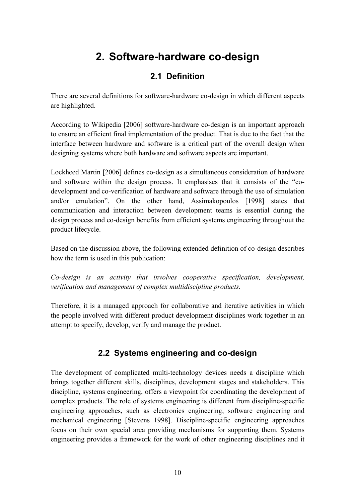# **2. Software-hardware co-design**

# **2.1 Definition**

There are several definitions for software-hardware co-design in which different aspects are highlighted.

According to Wikipedia [2006] software-hardware co-design is an important approach to ensure an efficient final implementation of the product. That is due to the fact that the interface between hardware and software is a critical part of the overall design when designing systems where both hardware and software aspects are important.

Lockheed Martin [2006] defines co-design as a simultaneous consideration of hardware and software within the design process. It emphasises that it consists of the "codevelopment and co-verification of hardware and software through the use of simulation and/or emulation". On the other hand, Assimakopoulos [1998] states that communication and interaction between development teams is essential during the design process and co-design benefits from efficient systems engineering throughout the product lifecycle.

Based on the discussion above, the following extended definition of co-design describes how the term is used in this publication:

*Co-design is an activity that involves cooperative specification, development, verification and management of complex multidiscipline products.* 

Therefore, it is a managed approach for collaborative and iterative activities in which the people involved with different product development disciplines work together in an attempt to specify, develop, verify and manage the product.

# **2.2 Systems engineering and co-design**

The development of complicated multi-technology devices needs a discipline which brings together different skills, disciplines, development stages and stakeholders. This discipline, systems engineering, offers a viewpoint for coordinating the development of complex products. The role of systems engineering is different from discipline-specific engineering approaches, such as electronics engineering, software engineering and mechanical engineering [Stevens 1998]. Discipline-specific engineering approaches focus on their own special area providing mechanisms for supporting them. Systems engineering provides a framework for the work of other engineering disciplines and it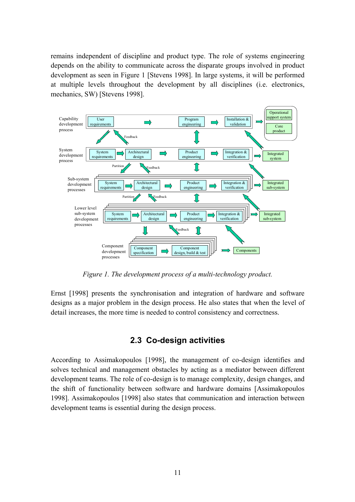remains independent of discipline and product type. The role of systems engineering depends on the ability to communicate across the disparate groups involved in product development as seen in Figure 1 [Stevens 1998]. In large systems, it will be performed at multiple levels throughout the development by all disciplines (i.e. electronics, mechanics, SW) [Stevens 1998].



*Figure 1. The development process of a multi-technology product.* 

Ernst [1998] presents the synchronisation and integration of hardware and software designs as a major problem in the design process. He also states that when the level of detail increases, the more time is needed to control consistency and correctness.

# **2.3 Co-design activities**

According to Assimakopoulos [1998], the management of co-design identifies and solves technical and management obstacles by acting as a mediator between different development teams. The role of co-design is to manage complexity, design changes, and the shift of functionality between software and hardware domains [Assimakopoulos 1998]. Assimakopoulos [1998] also states that communication and interaction between development teams is essential during the design process.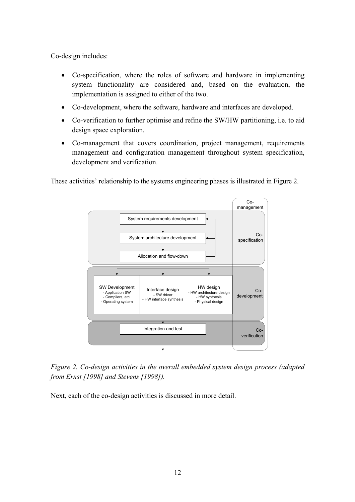Co-design includes:

- Co-specification, where the roles of software and hardware in implementing system functionality are considered and, based on the evaluation, the implementation is assigned to either of the two.
- Co-development, where the software, hardware and interfaces are developed.
- Co-verification to further optimise and refine the SW/HW partitioning, i.e. to aid design space exploration.
- Co-management that covers coordination, project management, requirements management and configuration management throughout system specification, development and verification.

These activities' relationship to the systems engineering phases is illustrated in Figure 2.



*Figure 2. Co-design activities in the overall embedded system design process (adapted from Ernst [1998] and Stevens [1998]).* 

Next, each of the co-design activities is discussed in more detail.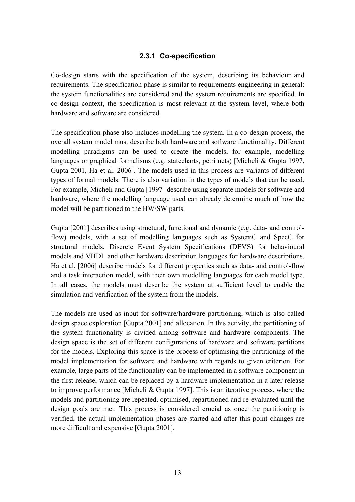#### **2.3.1 Co-specification**

Co-design starts with the specification of the system, describing its behaviour and requirements. The specification phase is similar to requirements engineering in general: the system functionalities are considered and the system requirements are specified. In co-design context, the specification is most relevant at the system level, where both hardware and software are considered.

The specification phase also includes modelling the system. In a co-design process, the overall system model must describe both hardware and software functionality. Different modelling paradigms can be used to create the models, for example, modelling languages or graphical formalisms (e.g. statecharts, petri nets) [Micheli & Gupta 1997, Gupta 2001, Ha et al. 2006]. The models used in this process are variants of different types of formal models. There is also variation in the types of models that can be used. For example, Micheli and Gupta [1997] describe using separate models for software and hardware, where the modelling language used can already determine much of how the model will be partitioned to the HW/SW parts.

Gupta [2001] describes using structural, functional and dynamic (e.g. data- and controlflow) models, with a set of modelling languages such as SystemC and SpecC for structural models, Discrete Event System Specifications (DEVS) for behavioural models and VHDL and other hardware description languages for hardware descriptions. Ha et al. [2006] describe models for different properties such as data- and control-flow and a task interaction model, with their own modelling languages for each model type. In all cases, the models must describe the system at sufficient level to enable the simulation and verification of the system from the models.

The models are used as input for software/hardware partitioning, which is also called design space exploration [Gupta 2001] and allocation. In this activity, the partitioning of the system functionality is divided among software and hardware components. The design space is the set of different configurations of hardware and software partitions for the models. Exploring this space is the process of optimising the partitioning of the model implementation for software and hardware with regards to given criterion. For example, large parts of the functionality can be implemented in a software component in the first release, which can be replaced by a hardware implementation in a later release to improve performance [Micheli & Gupta 1997]. This is an iterative process, where the models and partitioning are repeated, optimised, repartitioned and re-evaluated until the design goals are met. This process is considered crucial as once the partitioning is verified, the actual implementation phases are started and after this point changes are more difficult and expensive [Gupta 2001].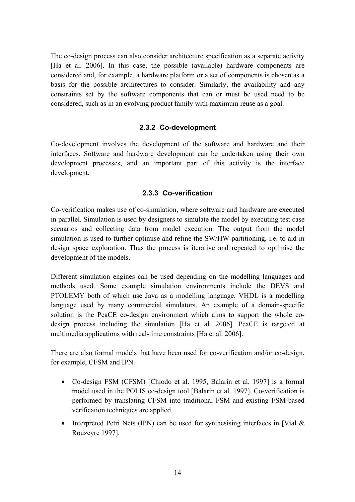The co-design process can also consider architecture specification as a separate activity [Ha et al. 2006]. In this case, the possible (available) hardware components are considered and, for example, a hardware platform or a set of components is chosen as a basis for the possible architectures to consider. Similarly, the availability and any constraints set by the software components that can or must be used need to be considered, such as in an evolving product family with maximum reuse as a goal.

#### **2.3.2 Co-development**

Co-development involves the development of the software and hardware and their interfaces. Software and hardware development can be undertaken using their own development processes, and an important part of this activity is the interface development.

#### **2.3.3 Co-verification**

Co-verification makes use of co-simulation, where software and hardware are executed in parallel. Simulation is used by designers to simulate the model by executing test case scenarios and collecting data from model execution. The output from the model simulation is used to further optimise and refine the SW/HW partitioning, i.e. to aid in design space exploration. Thus the process is iterative and repeated to optimise the development of the models.

Different simulation engines can be used depending on the modelling languages and methods used. Some example simulation environments include the DEVS and PTOLEMY both of which use Java as a modelling language. VHDL is a modelling language used by many commercial simulators. An example of a domain-specific solution is the PeaCE co-design environment which aims to support the whole codesign process including the simulation [Ha et al. 2006]. PeaCE is targeted at multimedia applications with real-time constraints [Ha et al. 2006].

There are also formal models that have been used for co-verification and/or co-design, for example, CFSM and IPN.

- Co-design FSM (CFSM) [Chiodo et al. 1995, Balarin et al. 1997] is a formal model used in the POLIS co-design tool [Balarin et al. 1997]. Co-verification is performed by translating CFSM into traditional FSM and existing FSM-based verification techniques are applied.
- Interpreted Petri Nets (IPN) can be used for synthesising interfaces in [Vial  $\&$ Rouzeyre 1997].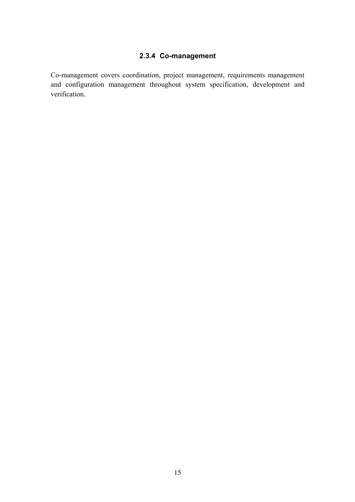# **2.3.4 Co-management**

Co-management covers coordination, project management, requirements management and configuration management throughout system specification, development and verification.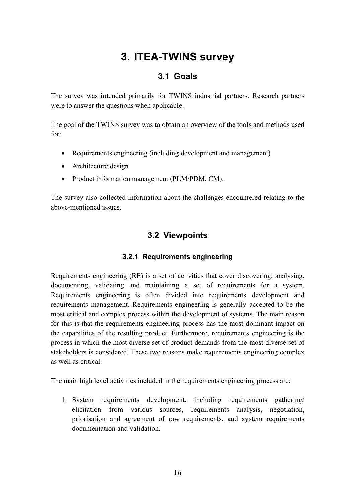# **3. ITEA-TWINS survey**

# **3.1 Goals**

The survey was intended primarily for TWINS industrial partners. Research partners were to answer the questions when applicable.

The goal of the TWINS survey was to obtain an overview of the tools and methods used for:

- Requirements engineering (including development and management)
- Architecture design
- Product information management (PLM/PDM, CM).

The survey also collected information about the challenges encountered relating to the above-mentioned issues.

# **3.2 Viewpoints**

# **3.2.1 Requirements engineering**

Requirements engineering (RE) is a set of activities that cover discovering, analysing, documenting, validating and maintaining a set of requirements for a system. Requirements engineering is often divided into requirements development and requirements management. Requirements engineering is generally accepted to be the most critical and complex process within the development of systems. The main reason for this is that the requirements engineering process has the most dominant impact on the capabilities of the resulting product. Furthermore, requirements engineering is the process in which the most diverse set of product demands from the most diverse set of stakeholders is considered. These two reasons make requirements engineering complex as well as critical.

The main high level activities included in the requirements engineering process are:

1. System requirements development, including requirements gathering/ elicitation from various sources, requirements analysis, negotiation, priorisation and agreement of raw requirements, and system requirements documentation and validation.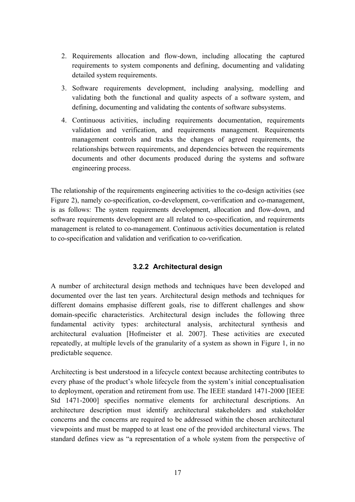- 2. Requirements allocation and flow-down, including allocating the captured requirements to system components and defining, documenting and validating detailed system requirements.
- 3. Software requirements development, including analysing, modelling and validating both the functional and quality aspects of a software system, and defining, documenting and validating the contents of software subsystems.
- 4. Continuous activities, including requirements documentation, requirements validation and verification, and requirements management. Requirements management controls and tracks the changes of agreed requirements, the relationships between requirements, and dependencies between the requirements documents and other documents produced during the systems and software engineering process.

The relationship of the requirements engineering activities to the co-design activities (see Figure 2), namely co-specification, co-development, co-verification and co-management, is as follows: The system requirements development, allocation and flow-down, and software requirements development are all related to co-specification, and requirements management is related to co-management. Continuous activities documentation is related to co-specification and validation and verification to co-verification.

### **3.2.2 Architectural design**

A number of architectural design methods and techniques have been developed and documented over the last ten years. Architectural design methods and techniques for different domains emphasise different goals, rise to different challenges and show domain-specific characteristics. Architectural design includes the following three fundamental activity types: architectural analysis, architectural synthesis and architectural evaluation [Hofmeister et al. 2007]. These activities are executed repeatedly, at multiple levels of the granularity of a system as shown in Figure 1, in no predictable sequence.

Architecting is best understood in a lifecycle context because architecting contributes to every phase of the product's whole lifecycle from the system's initial conceptualisation to deployment, operation and retirement from use. The IEEE standard 1471-2000 [IEEE Std 1471-2000] specifies normative elements for architectural descriptions. An architecture description must identify architectural stakeholders and stakeholder concerns and the concerns are required to be addressed within the chosen architectural viewpoints and must be mapped to at least one of the provided architectural views. The standard defines view as "a representation of a whole system from the perspective of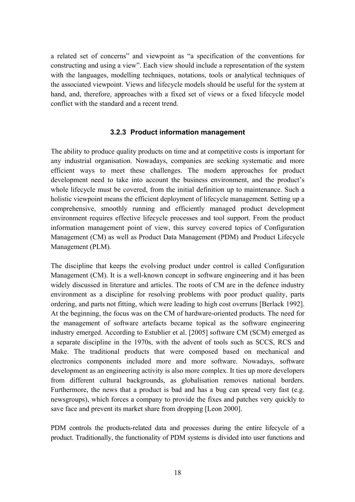a related set of concerns" and viewpoint as "a specification of the conventions for constructing and using a view". Each view should include a representation of the system with the languages, modelling techniques, notations, tools or analytical techniques of the associated viewpoint. Views and lifecycle models should be useful for the system at hand, and, therefore, approaches with a fixed set of views or a fixed lifecycle model conflict with the standard and a recent trend.

#### **3.2.3 Product information management**

The ability to produce quality products on time and at competitive costs is important for any industrial organisation. Nowadays, companies are seeking systematic and more efficient ways to meet these challenges. The modern approaches for product development need to take into account the business environment, and the product's whole lifecycle must be covered, from the initial definition up to maintenance. Such a holistic viewpoint means the efficient deployment of lifecycle management. Setting up a comprehensive, smoothly running and efficiently managed product development environment requires effective lifecycle processes and tool support. From the product information management point of view, this survey covered topics of Configuration Management (CM) as well as Product Data Management (PDM) and Product Lifecycle Management (PLM).

The discipline that keeps the evolving product under control is called Configuration Management (CM). It is a well-known concept in software engineering and it has been widely discussed in literature and articles. The roots of CM are in the defence industry environment as a discipline for resolving problems with poor product quality, parts ordering, and parts not fitting, which were leading to high cost overruns [Berlack 1992]. At the beginning, the focus was on the CM of hardware-oriented products. The need for the management of software artefacts became topical as the software engineering industry emerged. According to Estublier et al. [2005] software CM (SCM) emerged as a separate discipline in the 1970s, with the advent of tools such as SCCS, RCS and Make. The traditional products that were composed based on mechanical and electronics components included more and more software. Nowadays, software development as an engineering activity is also more complex. It ties up more developers from different cultural backgrounds, as globalisation removes national borders. Furthermore, the news that a product is bad and has a bug can spread very fast (e.g. newsgroups), which forces a company to provide the fixes and patches very quickly to save face and prevent its market share from dropping [Leon 2000].

PDM controls the products-related data and processes during the entire lifecycle of a product. Traditionally, the functionality of PDM systems is divided into user functions and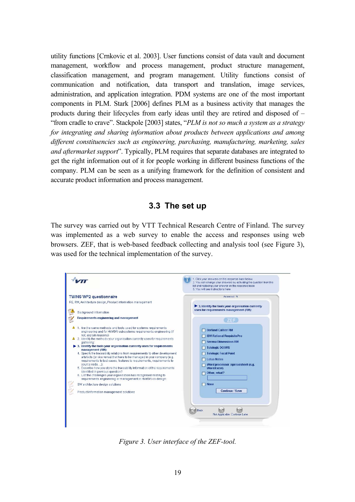utility functions [Crnkovic et al. 2003]. User functions consist of data vault and document management, workflow and process management, product structure management, classification management, and program management. Utility functions consist of communication and notification, data transport and translation, image services, administration, and application integration. PDM systems are one of the most important components in PLM. Stark [2006] defines PLM as a business activity that manages the products during their lifecycles from early ideas until they are retired and disposed of  $$ ìfrom cradle to craveî. Stackpole [2003] states, ì*PLM is not so much a system as a strategy for integrating and sharing information about products between applications and among different constituencies such as engineering, purchasing, manufacturing, marketing, sales and aftermarket support*î. Typically, PLM requires that separate databases are integrated to get the right information out of it for people working in different business functions of the company. PLM can be seen as a unifying framework for the definition of consistent and accurate product information and process management.

#### **3.3 The set up**

The survey was carried out by VTT Technical Research Centre of Finland. The survey was implemented as a web survey to enable the access and responses using web browsers. ZEF, that is web-based feedback collecting and analysis tool (see Figure 3), was used for the technical implementation of the survey.



*Figure 3. User interface of the ZEF-tool.*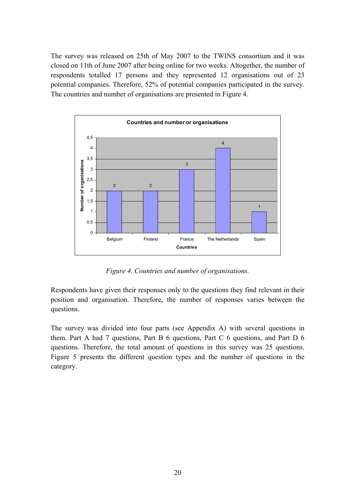The survey was released on 25th of May 2007 to the TWINS consortium and it was closed on 11th of June 2007 after being online for two weeks. Altogether, the number of respondents totalled 17 persons and they represented 12 organisations out of 23 potential companies. Therefore, 52% of potential companies participated in the survey. The countries and number of organisations are presented in Figure 4.



*Figure 4. Countries and number of organisations.* 

Respondents have given their responses only to the questions they find relevant in their position and organisation. Therefore, the number of responses varies between the questions.

The survey was divided into four parts (see Appendix A) with several questions in them. Part A had 7 questions, Part B 6 questions, Part C 6 questions, and Part D 6 questions. Therefore, the total amount of questions in this survey was 25 questions. Figure 5 presents the different question types and the number of questions in the category.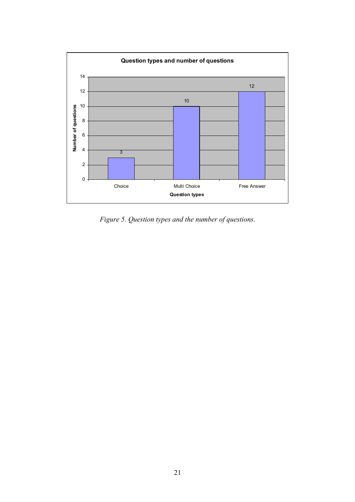

*Figure 5. Question types and the number of questions.*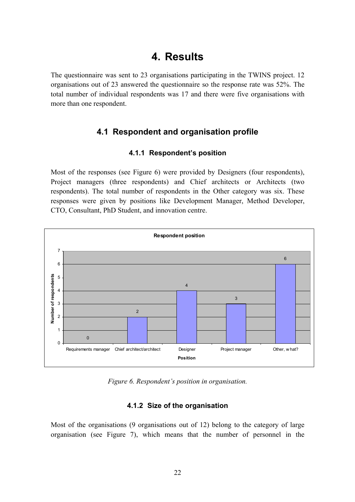# **4. Results**

The questionnaire was sent to 23 organisations participating in the TWINS project. 12 organisations out of 23 answered the questionnaire so the response rate was 52%. The total number of individual respondents was 17 and there were five organisations with more than one respondent.

# **4.1 Respondent and organisation profile**

#### **4.1.1 Respondentís position**

Most of the responses (see Figure 6) were provided by Designers (four respondents), Project managers (three respondents) and Chief architects or Architects (two respondents). The total number of respondents in the Other category was six. These responses were given by positions like Development Manager, Method Developer, CTO, Consultant, PhD Student, and innovation centre.



*Figure 6. Respondent's position in organisation.* 

#### **4.1.2 Size of the organisation**

Most of the organisations (9 organisations out of 12) belong to the category of large organisation (see Figure 7), which means that the number of personnel in the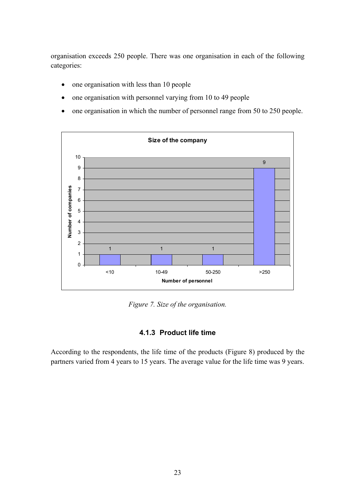organisation exceeds 250 people. There was one organisation in each of the following categories:

- one organisation with less than 10 people
- one organisation with personnel varying from 10 to 49 people
- one organisation in which the number of personnel range from 50 to 250 people.



*Figure 7. Size of the organisation.*

### **4.1.3 Product life time**

According to the respondents, the life time of the products (Figure 8) produced by the partners varied from 4 years to 15 years. The average value for the life time was 9 years.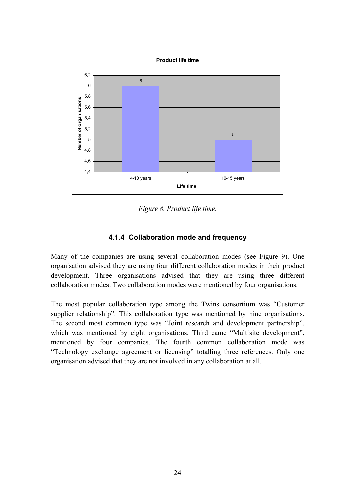

*Figure 8. Product life time.* 

### **4.1.4 Collaboration mode and frequency**

Many of the companies are using several collaboration modes (see Figure 9). One organisation advised they are using four different collaboration modes in their product development. Three organisations advised that they are using three different collaboration modes. Two collaboration modes were mentioned by four organisations.

The most popular collaboration type among the Twins consortium was "Customer" supplier relationship". This collaboration type was mentioned by nine organisations. The second most common type was "Joint research and development partnership", which was mentioned by eight organisations. Third came "Multisite development", mentioned by four companies. The fourth common collaboration mode was ìTechnology exchange agreement or licensingî totalling three references. Only one organisation advised that they are not involved in any collaboration at all.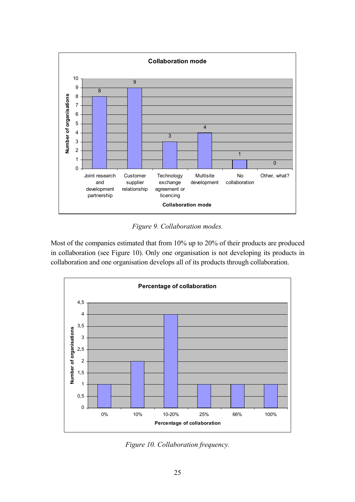

*Figure 9. Collaboration modes.* 

Most of the companies estimated that from 10% up to 20% of their products are produced in collaboration (see Figure 10). Only one organisation is not developing its products in collaboration and one organisation develops all of its products through collaboration.



*Figure 10. Collaboration frequency.*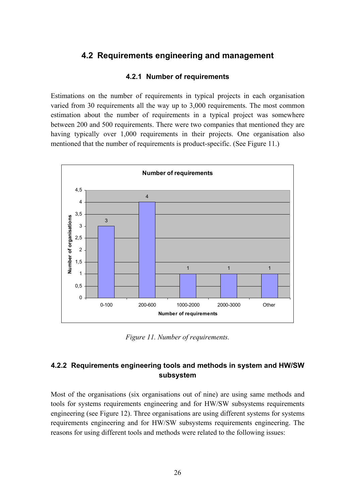# **4.2 Requirements engineering and management**

#### **4.2.1 Number of requirements**

Estimations on the number of requirements in typical projects in each organisation varied from 30 requirements all the way up to 3,000 requirements. The most common estimation about the number of requirements in a typical project was somewhere between 200 and 500 requirements. There were two companies that mentioned they are having typically over 1,000 requirements in their projects. One organisation also mentioned that the number of requirements is product-specific. (See Figure 11.)



*Figure 11. Number of requirements.* 

### **4.2.2 Requirements engineering tools and methods in system and HW/SW subsystem**

Most of the organisations (six organisations out of nine) are using same methods and tools for systems requirements engineering and for HW/SW subsystems requirements engineering (see Figure 12). Three organisations are using different systems for systems requirements engineering and for HW/SW subsystems requirements engineering. The reasons for using different tools and methods were related to the following issues: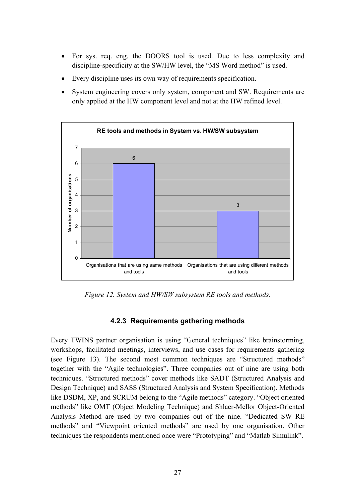- For sys. req. eng. the DOORS tool is used. Due to less complexity and discipline-specificity at the SW/HW level, the "MS Word method" is used.
- Every discipline uses its own way of requirements specification.
- System engineering covers only system, component and SW. Requirements are only applied at the HW component level and not at the HW refined level.



*Figure 12. System and HW/SW subsystem RE tools and methods.* 

#### **4.2.3 Requirements gathering methods**

Every TWINS partner organisation is using "General techniques" like brainstorming, workshops, facilitated meetings, interviews, and use cases for requirements gathering (see Figure 13). The second most common techniques are "Structured methods" together with the "Agile technologies". Three companies out of nine are using both techniques. "Structured methods" cover methods like SADT (Structured Analysis and Design Technique) and SASS (Structured Analysis and System Specification). Methods like DSDM, XP, and SCRUM belong to the "Agile methods" category. "Object oriented methods" like OMT (Object Modeling Technique) and Shlaer-Mellor Object-Oriented Analysis Method are used by two companies out of the nine. "Dedicated SW RE methods" and "Viewpoint oriented methods" are used by one organisation. Other techniques the respondents mentioned once were "Prototyping" and "Matlab Simulink".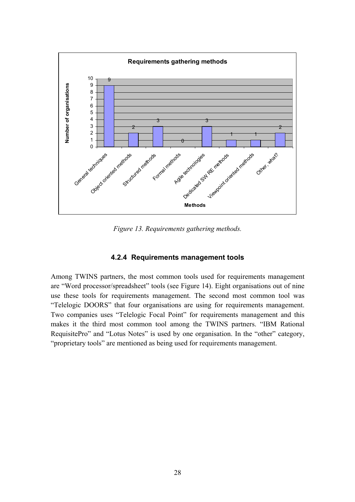

*Figure 13. Requirements gathering methods.* 

#### **4.2.4 Requirements management tools**

Among TWINS partners, the most common tools used for requirements management are "Word processor/spreadsheet" tools (see Figure 14). Eight organisations out of nine use these tools for requirements management. The second most common tool was ìTelelogic DOORSî that four organisations are using for requirements management. Two companies uses "Telelogic Focal Point" for requirements management and this makes it the third most common tool among the TWINS partners. "IBM Rational RequisitePro" and "Lotus Notes" is used by one organisation. In the "other" category, ìproprietary toolsî are mentioned as being used for requirements management.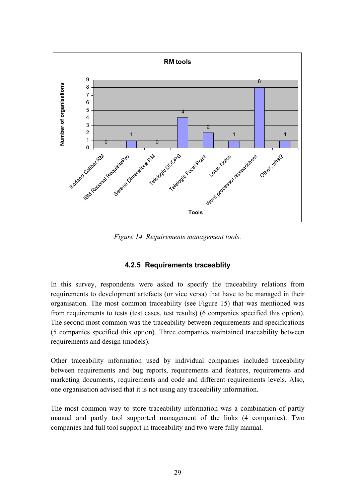

*Figure 14. Requirements management tools.* 

### **4.2.5 Requirements traceablity**

In this survey, respondents were asked to specify the traceability relations from requirements to development artefacts (or vice versa) that have to be managed in their organisation. The most common traceability (see Figure 15) that was mentioned was from requirements to tests (test cases, test results) (6 companies specified this option). The second most common was the traceability between requirements and specifications (5 companies specified this option). Three companies maintained traceability between requirements and design (models).

Other traceability information used by individual companies included traceability between requirements and bug reports, requirements and features, requirements and marketing documents, requirements and code and different requirements levels. Also, one organisation advised that it is not using any traceability information.

The most common way to store traceability information was a combination of partly manual and partly tool supported management of the links (4 companies). Two companies had full tool support in traceability and two were fully manual.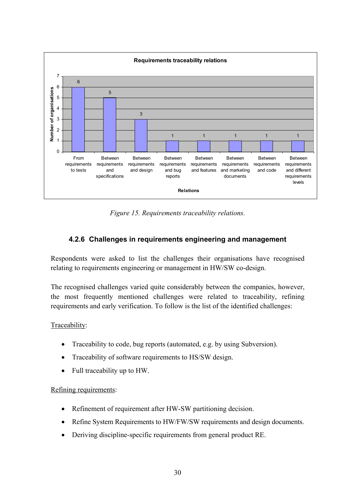

*Figure 15. Requirements traceability relations.* 

# **4.2.6 Challenges in requirements engineering and management**

Respondents were asked to list the challenges their organisations have recognised relating to requirements engineering or management in HW/SW co-design.

The recognised challenges varied quite considerably between the companies, however, the most frequently mentioned challenges were related to traceability, refining requirements and early verification. To follow is the list of the identified challenges:

#### Traceability:

- Traceability to code, bug reports (automated, e.g. by using Subversion).
- Traceability of software requirements to HS/SW design.
- Full traceability up to HW.

#### Refining requirements:

- Refinement of requirement after HW-SW partitioning decision.
- Refine System Requirements to HW/FW/SW requirements and design documents.
- Deriving discipline-specific requirements from general product RE.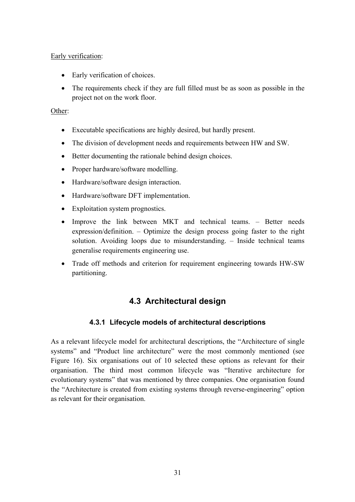#### Early verification:

- Early verification of choices.
- The requirements check if they are full filled must be as soon as possible in the project not on the work floor.

#### Other:

- Executable specifications are highly desired, but hardly present.
- The division of development needs and requirements between HW and SW.
- Better documenting the rationale behind design choices.
- Proper hardware/software modelling.
- Hardware/software design interaction.
- Hardware/software DFT implementation.
- Exploitation system prognostics.
- Improve the link between MKT and technical teams. Better needs expression/definition.  $-$  Optimize the design process going faster to the right solution. Avoiding loops due to misunderstanding.  $-$  Inside technical teams generalise requirements engineering use.
- Trade off methods and criterion for requirement engineering towards HW-SW partitioning.

# **4.3 Architectural design**

#### **4.3.1 Lifecycle models of architectural descriptions**

As a relevant lifecycle model for architectural descriptions, the "Architecture of single" systems" and "Product line architecture" were the most commonly mentioned (see Figure 16). Six organisations out of 10 selected these options as relevant for their organisation. The third most common lifecycle was "Iterative architecture for evolutionary systems" that was mentioned by three companies. One organisation found the "Architecture is created from existing systems through reverse-engineering" option as relevant for their organisation.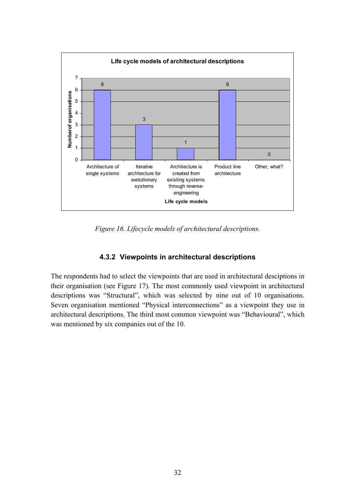

*Figure 16. Lifecycle models of architectural descriptions.* 

#### **4.3.2 Viewpoints in architectural descriptions**

The respondents had to select the viewpoints that are used in architectural desciptions in their organisation (see Figure 17). The most commonly used viewpoint in architectural descriptions was "Structural", which was selected by nine out of 10 organisations. Seven organisation mentioned "Physical interconnections" as a viewpoint they use in architectural descriptions. The third most common viewpoint was "Behavioural", which was mentioned by six companies out of the 10.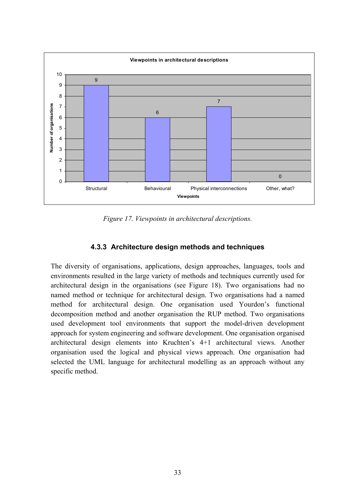

*Figure 17. Viewpoints in architectural descriptions.* 

### **4.3.3 Architecture design methods and techniques**

The diversity of organisations, applications, design approaches, languages, tools and environments resulted in the large variety of methods and techniques currently used for architectural design in the organisations (see Figure 18). Two organisations had no named method or technique for architectural design. Two organisations had a named method for architectural design. One organisation used Yourdon's functional decomposition method and another organisation the RUP method. Two organisations used development tool environments that support the model-driven development approach for system engineering and software development. One organisation organised architectural design elements into Kruchten's 4+1 architectural views. Another organisation used the logical and physical views approach. One organisation had selected the UML language for architectural modelling as an approach without any specific method.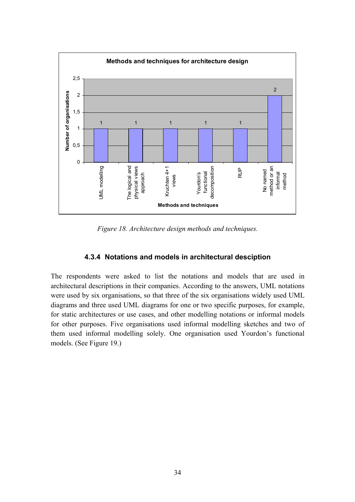

*Figure 18. Architecture design methods and techniques.* 

#### **4.3.4 Notations and models in architectural desciption**

The respondents were asked to list the notations and models that are used in architectural descriptions in their companies. According to the answers, UML notations were used by six organisations, so that three of the six organisations widely used UML diagrams and three used UML diagrams for one or two specific purposes, for example, for static architectures or use cases, and other modelling notations or informal models for other purposes. Five organisations used informal modelling sketches and two of them used informal modelling solely. One organisation used Yourdon's functional models. (See Figure 19.)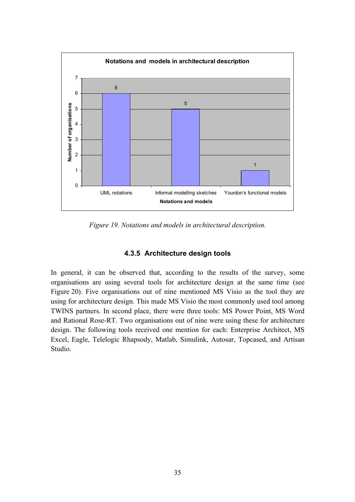

*Figure 19. Notations and models in architectural description.* 

### **4.3.5 Architecture design tools**

In general, it can be observed that, according to the results of the survey, some organisations are using several tools for architecture design at the same time (see Figure 20). Five organisations out of nine mentioned MS Visio as the tool they are using for architecture design. This made MS Visio the most commonly used tool among TWINS partners. In second place, there were three tools: MS Power Point, MS Word and Rational Rose-RT. Two organisations out of nine were using these for architecture design. The following tools received one mention for each: Enterprise Architect, MS Excel, Eagle, Telelogic Rhapsody, Matlab, Simulink, Autosar, Topcased, and Artisan Studio.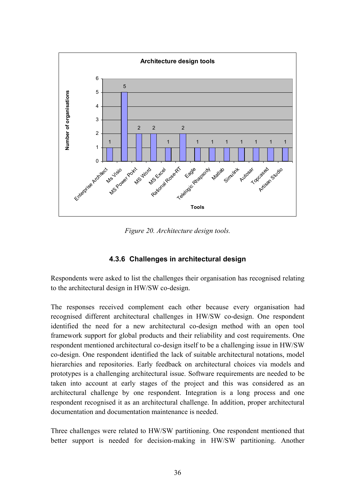

*Figure 20. Architecture design tools.* 

### **4.3.6 Challenges in architectural design**

Respondents were asked to list the challenges their organisation has recognised relating to the architectural design in HW/SW co-design.

The responses received complement each other because every organisation had recognised different architectural challenges in HW/SW co-design. One respondent identified the need for a new architectural co-design method with an open tool framework support for global products and their reliability and cost requirements. One respondent mentioned architectural co-design itself to be a challenging issue in HW/SW co-design. One respondent identified the lack of suitable architectural notations, model hierarchies and repositories. Early feedback on architectural choices via models and prototypes is a challenging architectural issue. Software requirements are needed to be taken into account at early stages of the project and this was considered as an architectural challenge by one respondent. Integration is a long process and one respondent recognised it as an architectural challenge. In addition, proper architectural documentation and documentation maintenance is needed.

Three challenges were related to HW/SW partitioning. One respondent mentioned that better support is needed for decision-making in HW/SW partitioning. Another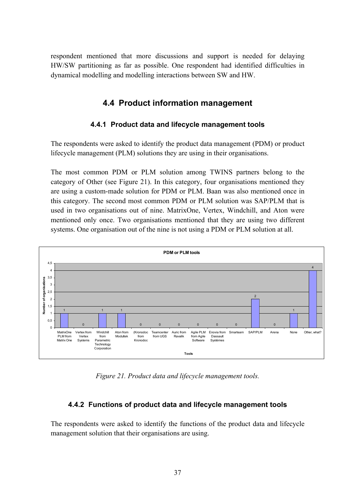respondent mentioned that more discussions and support is needed for delaying HW/SW partitioning as far as possible. One respondent had identified difficulties in dynamical modelling and modelling interactions between SW and HW.

# **4.4 Product information management**

#### **4.4.1 Product data and lifecycle management tools**

The respondents were asked to identify the product data management (PDM) or product lifecycle management (PLM) solutions they are using in their organisations.

The most common PDM or PLM solution among TWINS partners belong to the category of Other (see Figure 21). In this category, four organisations mentioned they are using a custom-made solution for PDM or PLM. Baan was also mentioned once in this category. The second most common PDM or PLM solution was SAP/PLM that is used in two organisations out of nine. MatrixOne, Vertex, Windchill, and Aton were mentioned only once. Two organisations mentioned that they are using two different systems. One organisation out of the nine is not using a PDM or PLM solution at all.



*Figure 21. Product data and lifecycle management tools.* 

### **4.4.2 Functions of product data and lifecycle management tools**

The respondents were asked to identify the functions of the product data and lifecycle management solution that their organisations are using.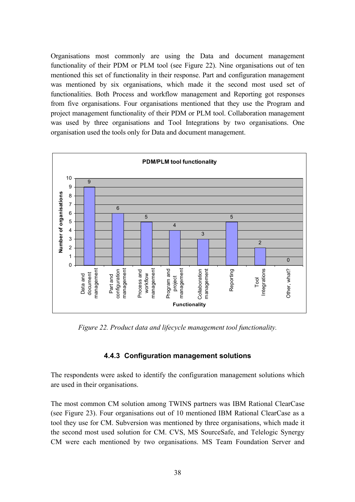Organisations most commonly are using the Data and document management functionality of their PDM or PLM tool (see Figure 22). Nine organisations out of ten mentioned this set of functionality in their response. Part and configuration management was mentioned by six organisations, which made it the second most used set of functionalities. Both Process and workflow management and Reporting got responses from five organisations. Four organisations mentioned that they use the Program and project management functionality of their PDM or PLM tool. Collaboration management was used by three organisations and Tool Integrations by two organisations. One organisation used the tools only for Data and document management.



*Figure 22. Product data and lifecycle management tool functionality.* 

#### **4.4.3 Configuration management solutions**

The respondents were asked to identify the configuration management solutions which are used in their organisations.

The most common CM solution among TWINS partners was IBM Rational ClearCase (see Figure 23). Four organisations out of 10 mentioned IBM Rational ClearCase as a tool they use for CM. Subversion was mentioned by three organisations, which made it the second most used solution for CM. CVS, MS SourceSafe, and Telelogic Synergy CM were each mentioned by two organisations. MS Team Foundation Server and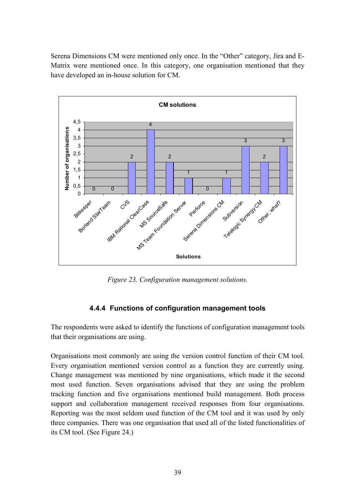Serena Dimensions CM were mentioned only once. In the "Other" category, Jira and E-Matrix were mentioned once. In this category, one organisation mentioned that they have developed an in-house solution for CM.



*Figure 23. Configuration management solutions.* 

### **4.4.4 Functions of configuration management tools**

The respondents were asked to identify the functions of configuration management tools that their organisations are using.

Organisations most commonly are using the version control function of their CM tool. Every organisation mentioned version control as a function they are currently using. Change management was mentioned by nine organisations, which made it the second most used function. Seven organisations advised that they are using the problem tracking function and five organisations mentioned build management. Both process support and collaboration management received responses from four organisations. Reporting was the most seldom used function of the CM tool and it was used by only three companies. There was one organisation that used all of the listed functionalities of its CM tool. (See Figure 24.)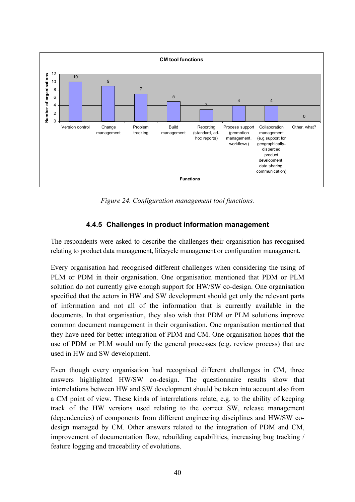

*Figure 24. Configuration management tool functions.* 

### **4.4.5 Challenges in product information management**

The respondents were asked to describe the challenges their organisation has recognised relating to product data management, lifecycle management or configuration management.

Every organisation had recognised different challenges when considering the using of PLM or PDM in their organisation. One organisation mentioned that PDM or PLM solution do not currently give enough support for HW/SW co-design. One organisation specified that the actors in HW and SW development should get only the relevant parts of information and not all of the information that is currently available in the documents. In that organisation, they also wish that PDM or PLM solutions improve common document management in their organisation. One organisation mentioned that they have need for better integration of PDM and CM. One organisation hopes that the use of PDM or PLM would unify the general processes (e.g. review process) that are used in HW and SW development.

Even though every organisation had recognised different challenges in CM, three answers highlighted HW/SW co-design. The questionnaire results show that interrelations between HW and SW development should be taken into account also from a CM point of view. These kinds of interrelations relate, e.g. to the ability of keeping track of the HW versions used relating to the correct SW, release management (dependencies) of components from different engineering disciplines and HW/SW codesign managed by CM. Other answers related to the integration of PDM and CM, improvement of documentation flow, rebuilding capabilities, increasing bug tracking / feature logging and traceability of evolutions.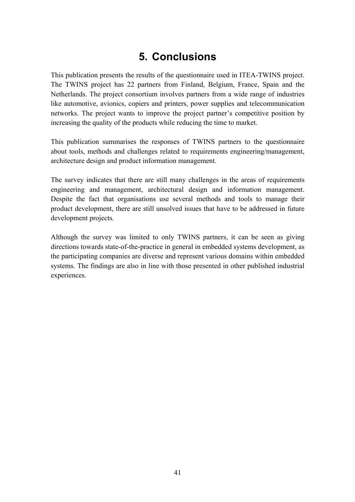# **5. Conclusions**

This publication presents the results of the questionnaire used in ITEA-TWINS project. The TWINS project has 22 partners from Finland, Belgium, France, Spain and the Netherlands. The project consortium involves partners from a wide range of industries like automotive, avionics, copiers and printers, power supplies and telecommunication networks. The project wants to improve the project partner's competitive position by increasing the quality of the products while reducing the time to market.

This publication summarises the responses of TWINS partners to the questionnaire about tools, methods and challenges related to requirements engineering/management, architecture design and product information management.

The survey indicates that there are still many challenges in the areas of requirements engineering and management, architectural design and information management. Despite the fact that organisations use several methods and tools to manage their product development, there are still unsolved issues that have to be addressed in future development projects.

Although the survey was limited to only TWINS partners, it can be seen as giving directions towards state-of-the-practice in general in embedded systems development, as the participating companies are diverse and represent various domains within embedded systems. The findings are also in line with those presented in other published industrial experiences.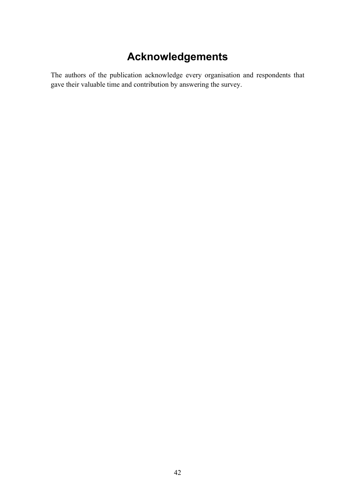# **Acknowledgements**

The authors of the publication acknowledge every organisation and respondents that gave their valuable time and contribution by answering the survey.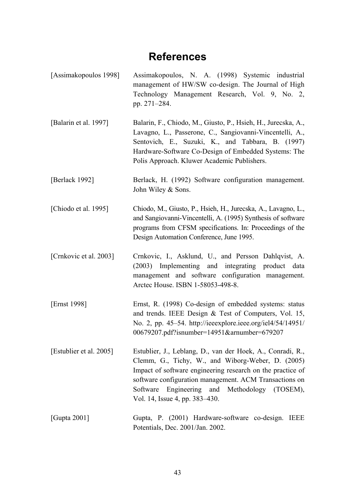# **References**

[Assimakopoulos 1998] Assimakopoulos, N. A. (1998) Systemic industrial management of HW/SW co-design. The Journal of High Technology Management Research, Vol. 9, No. 2, pp. 271-284. [Balarin et al. 1997] Balarin, F., Chiodo, M., Giusto, P., Hsieh, H., Jurecska, A., Lavagno, L., Passerone, C., Sangiovanni-Vincentelli, A., Sentovich, E., Suzuki, K., and Tabbara, B. (1997) Hardware-Software Co-Design of Embedded Systems: The Polis Approach. Kluwer Academic Publishers. [Berlack 1992] Berlack, H. (1992) Software configuration management. John Wiley & Sons. [Chiodo et al. 1995] Chiodo, M., Giusto, P., Hsieh, H., Jurecska, A., Lavagno, L., and Sangiovanni-Vincentelli, A. (1995) Synthesis of software programs from CFSM specifications. In: Proceedings of the Design Automation Conference, June 1995. [Crnkovic et al. 2003] Crnkovic, I., Asklund, U., and Persson Dahlqvist, A. (2003) Implementing and integrating product data management and software configuration management. Arctec House. ISBN 1-58053-498-8. [Ernst 1998] Ernst, R. (1998) Co-design of embedded systems: status and trends. IEEE Design & Test of Computers, Vol. 15, No. 2, pp. 45–54. http://ieeexplore.ieee.org/iel $4/54/14951/$ 00679207.pdf?isnumber=14951&arnumber=679207 [Estublier et al. 2005] Estublier, J., Leblang, D., van der Hoek, A., Conradi, R., Clemm, G., Tichy, W., and Wiborg-Weber, D. (2005) Impact of software engineering research on the practice of software configuration management. ACM Transactions on Software Engineering and Methodology (TOSEM), Vol. 14, Issue 4, pp. 383–430. [Gupta 2001] Gupta, P. (2001) Hardware-software co-design. IEEE Potentials, Dec. 2001/Jan. 2002.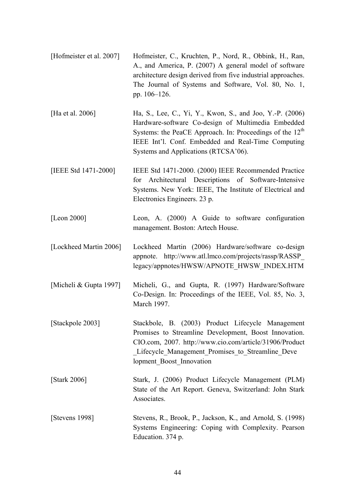| [Hofmeister et al. 2007] | Hofmeister, C., Kruchten, P., Nord, R., Obbink, H., Ran,<br>A., and America, P. (2007) A general model of software<br>architecture design derived from five industrial approaches.<br>The Journal of Systems and Software, Vol. 80, No. 1,<br>pp. 106-126.                           |
|--------------------------|--------------------------------------------------------------------------------------------------------------------------------------------------------------------------------------------------------------------------------------------------------------------------------------|
| [Ha et al. 2006]         | Ha, S., Lee, C., Yi, Y., Kwon, S., and Joo, Y.-P. (2006)<br>Hardware-software Co-design of Multimedia Embedded<br>Systems: the PeaCE Approach. In: Proceedings of the 12 <sup>th</sup><br>IEEE Int'l. Conf. Embedded and Real-Time Computing<br>Systems and Applications (RTCSA'06). |
| [IEEE Std 1471-2000]     | IEEE Std 1471-2000. (2000) IEEE Recommended Practice<br>for Architectural Descriptions of Software-Intensive<br>Systems. New York: IEEE, The Institute of Electrical and<br>Electronics Engineers. 23 p.                                                                             |
| [Leon 2000]              | Leon, A. (2000) A Guide to software configuration<br>management. Boston: Artech House.                                                                                                                                                                                               |
| ILockheed Martin 20061   | Lockheed Martin (2006) Hardware/software co-design                                                                                                                                                                                                                                   |

 $[Lockneed$  Martin 2006] Lockheed Martin  $(2000)$  Hardware/software co-design appnote. [http://www.atl.lmco.com/projects/rassp/RASSP\\_](http://www.atl.lmco.com/projects/rassp/RASSP_) legacy/appnotes/HWSW/APNOTE\_HWSW\_INDEX.HTM

[Micheli & Gupta 1997] Micheli, G., and Gupta, R. (1997) Hardware/Software Co-Design. In: Proceedings of the IEEE, Vol. 85, No. 3, March 1997.

- [Stackpole 2003] Stackbole, B. (2003) Product Lifecycle Management Promises to Streamline Development, Boost Innovation. CIO.com, 2007. <http://www.cio.com/article/31906/Product> Lifecycle Management Promises to Streamline Deve lopment\_Boost\_Innovation
- [Stark 2006] Stark, J. (2006) Product Lifecycle Management (PLM) State of the Art Report. Geneva, Switzerland: John Stark Associates.
- [Stevens 1998] Stevens, R., Brook, P., Jackson, K., and Arnold, S. (1998) Systems Engineering: Coping with Complexity. Pearson Education. 374 p.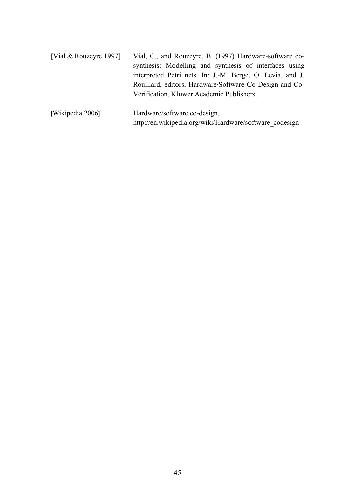| [Vial & Rouzeyre 1997] | Vial, C., and Rouzeyre, B. (1997) Hardware-software co-   |  |
|------------------------|-----------------------------------------------------------|--|
|                        | synthesis: Modelling and synthesis of interfaces using    |  |
|                        | interpreted Petri nets. In: J.-M. Berge, O. Levia, and J. |  |
|                        | Rouillard, editors, Hardware/Software Co-Design and Co-   |  |
|                        | Verification. Kluwer Academic Publishers.                 |  |
| [Wikipedia 2006]       | Hardware/software co-design.                              |  |
|                        | http://en.wikipedia.org/wiki/Hardware/software_codesign   |  |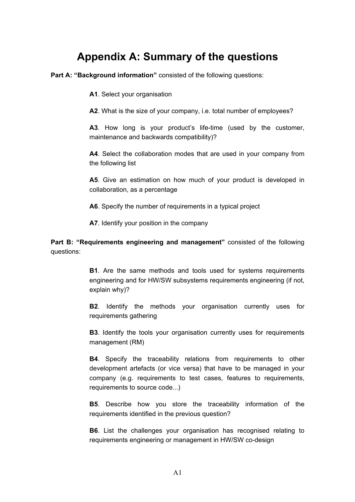# **Appendix A: Summary of the questions**

**Part A: "Background information"** consisted of the following questions:

**A1**. Select your organisation

**A2**. What is the size of your company, i.e. total number of employees?

A3. How long is your product's life-time (used by the customer, maintenance and backwards compatibility)?

**A4**. Select the collaboration modes that are used in your company from the following list

**A5**. Give an estimation on how much of your product is developed in collaboration, as a percentage

**A6**. Specify the number of requirements in a typical project

**A7**. Identify your position in the company

Part B: "Requirements engineering and management" consisted of the following questions:

> **B1**. Are the same methods and tools used for systems requirements engineering and for HW/SW subsystems requirements engineering (if not, explain why)?

> **B2**. Identify the methods your organisation currently uses for requirements gathering

> **B3**. Identify the tools your organisation currently uses for requirements management (RM)

> **B4**. Specify the traceability relations from requirements to other development artefacts (or vice versa) that have to be managed in your company (e.g. requirements to test cases, features to requirements, requirements to source code...)

> **B5**. Describe how you store the traceability information of the requirements identified in the previous question?

> **B6**. List the challenges your organisation has recognised relating to requirements engineering or management in HW/SW co-design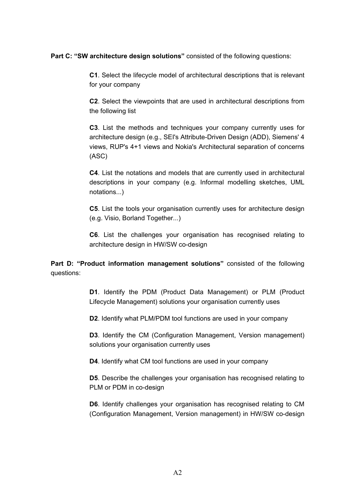**Part C: "SW architecture design solutions"** consisted of the following questions:

**C1**. Select the lifecycle model of architectural descriptions that is relevant for your company

**C2**. Select the viewpoints that are used in architectural descriptions from the following list

**C3**. List the methods and techniques your company currently uses for architecture design (e.g., SEI's Attribute-Driven Design (ADD), Siemens' 4 views, RUP's 4+1 views and Nokia's Architectural separation of concerns (ASC)

**C4**. List the notations and models that are currently used in architectural descriptions in your company (e.g. Informal modelling sketches, UML notations...)

**C5**. List the tools your organisation currently uses for architecture design (e.g. Visio, Borland Together...)

**C6**. List the challenges your organisation has recognised relating to architecture design in HW/SW co-design

Part D: "Product information management solutions" consisted of the following questions:

> **D1**. Identify the PDM (Product Data Management) or PLM (Product Lifecycle Management) solutions your organisation currently uses

**D2**. Identify what PLM/PDM tool functions are used in your company

**D3**. Identify the CM (Configuration Management, Version management) solutions your organisation currently uses

**D4**. Identify what CM tool functions are used in your company

**D5**. Describe the challenges your organisation has recognised relating to PLM or PDM in co-design

**D6**. Identify challenges your organisation has recognised relating to CM (Configuration Management, Version management) in HW/SW co-design